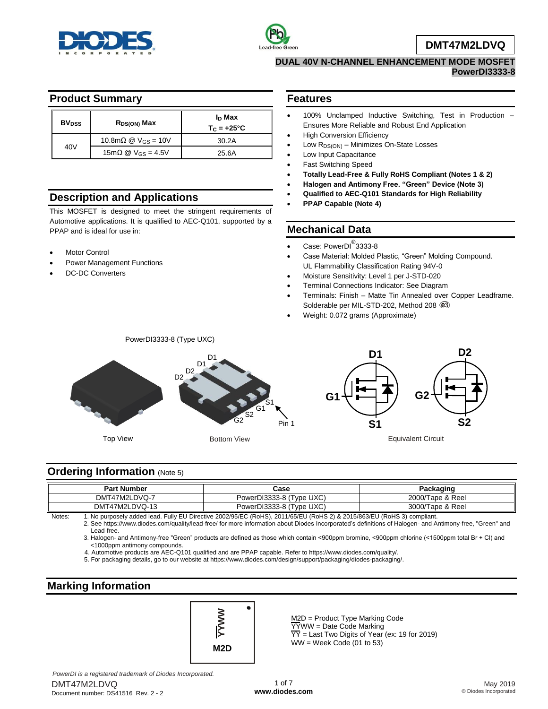



**DMT47M2LDVQ**

#### **DUAL 40V N-CHANNEL ENHANCEMENT MODE MOSFET PowerDI3333-8**

### **Product Summary**

| <b>BV<sub>DSS</sub></b> | $R_{DS(ON)}$ Max                | I <sub>D</sub> Max<br>$T_{C} = +25^{\circ}C$ |
|-------------------------|---------------------------------|----------------------------------------------|
| 40V                     | 10.8m $\Omega$ @ $V_{GS}$ = 10V | 30.2A                                        |
|                         |                                 | 25.6A                                        |

# **Description and Applications**

This MOSFET is designed to meet the stringent requirements of Automotive applications. It is qualified to AEC-Q101, supported by a PPAP and is ideal for use in:

- Motor Control
- Power Management Functions
- DC-DC Converters

#### **Features**

- 100% Unclamped Inductive Switching, Test in Production Ensures More Reliable and Robust End Application
- High Conversion Efficiency
- Low  $R_{DS(ON)}$  Minimizes On-State Losses
- Low Input Capacitance
- Fast Switching Speed
- **Totally Lead-Free & Fully RoHS Compliant (Notes 1 & 2)**
- **Halogen and Antimony Free. "Green" Device (Note 3)**
- **Qualified to AEC-Q101 Standards for High Reliability**
- **PPAP Capable (Note 4)**

## **Mechanical Data**

- Case: PowerDI<sup>®</sup>3333-8
- Case Material: Molded Plastic, "Green" Molding Compound. UL Flammability Classification Rating 94V-0
- Moisture Sensitivity: Level 1 per J-STD-020
- Terminal Connections Indicator: See Diagram
- Terminals: Finish Matte Tin Annealed over Copper Leadframe. Solderable per MIL-STD-202, Method 208  $@3$
- Weight: 0.072 grams (Approximate)



#### **Ordering Information (Note 5)**

| <b>Part Number</b> | Case                     | Packaɑinɑ        |  |  |  |
|--------------------|--------------------------|------------------|--|--|--|
| DMT47M2LDVQ-7      | PowerDI3333-8 (Type UXC) | 2000/Tape & Reel |  |  |  |
| DMT47M2LDVQ-13     | PowerDI3333-8 (Type UXC) | 3000/Tape & Reel |  |  |  |

Notes: 1. No purposely added lead. Fully EU Directive 2002/95/EC (RoHS), 2011/65/EU (RoHS 2) & 2015/863/EU (RoHS 3) compliant.

2. See https://www.diodes.com/quality/lead-free/ for more information about Diodes Incorporated's definitions of Halogen- and Antimony-free, "Green" and Lead-free.

3. Halogen- and Antimony-free "Green" products are defined as those which contain <900ppm bromine, <900ppm chlorine (<1500ppm total Br + Cl) and <1000ppm antimony compounds.

4. Automotive products are AEC-Q101 qualified and are PPAP capable. Refer to https://www.diodes.com/quality/.

5. For packaging details, go to our website at https://www.diodes.com/design/support/packaging/diodes-packaging/.

# **Marking Information**



M2D = Product Type Marking Code YYWW = Date Code Marking  $\overline{YY}$  = Last Two Digits of Year (ex: 19 for 2019) WW = Week Code (01 to 53)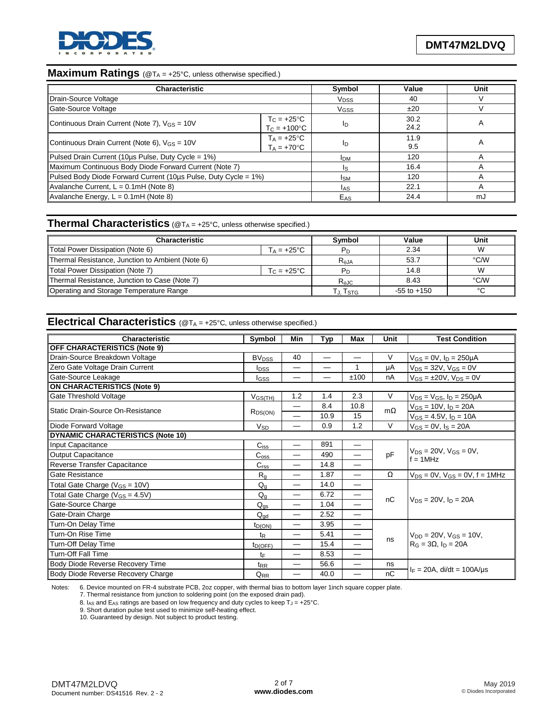

# **Maximum Ratings** (@T<sub>A</sub> = +25°C, unless otherwise specified.)

| <b>Characteristic</b>                                                                       | Symbol                                         | Value | Unit         |   |
|---------------------------------------------------------------------------------------------|------------------------------------------------|-------|--------------|---|
| Drain-Source Voltage                                                                        | <b>V<sub>DSS</sub></b>                         | 40    |              |   |
| Gate-Source Voltage                                                                         | VGSS                                           | ±20   |              |   |
| Continuous Drain Current (Note 7), V <sub>GS</sub> = 10V                                    | $T_{\rm C}$ = +25°C<br>$T_{C} = +100^{\circ}C$ | In    | 30.2<br>24.2 | A |
| $T_A = +25^{\circ}C$<br>Continuous Drain Current (Note 6), $V_{GS} = 10V$<br>$T_A = +70$ °C |                                                | In    | 11.9<br>9.5  | A |
| Pulsed Drain Current (10us Pulse, Duty Cycle = 1%)                                          | <b>IDM</b>                                     | 120   |              |   |
| Maximum Continuous Body Diode Forward Current (Note 7)                                      | Is                                             | 16.4  |              |   |
| Pulsed Body Diode Forward Current (10us Pulse, Duty Cycle = 1%)                             | <b>I</b> SM                                    | 120   |              |   |
| Avalanche Current, $L = 0.1$ mH (Note 8)                                                    | las                                            | 22.1  |              |   |
| Avalanche Energy, L = 0.1mH (Note 8)                                                        | E <sub>AS</sub>                                | 24.4  | mJ           |   |

#### **Thermal Characteristics** (@T<sub>A</sub> = +25°C, unless otherwise specified.)

| Characteristic                                          |                      | <b>Symbol</b> | Value           | Unit   |
|---------------------------------------------------------|----------------------|---------------|-----------------|--------|
| Total Power Dissipation (Note 6)                        | $T_A = +25^{\circ}C$ |               | 2.34            | W      |
| Thermal Resistance, Junction to Ambient (Note 6)        | $R_{\theta$ JA       | 53.7          | °C/W            |        |
| Total Power Dissipation (Note 7)<br>$T_{\rm C}$ = +25°C |                      |               | 14.8            | W      |
| Thermal Resistance, Junction to Case (Note 7)           | $R_{\theta$ JC       | 8.43          | °C/W            |        |
| Operating and Storage Temperature Range                 |                      | Гл. Тѕтс      | $-55$ to $+150$ | $\sim$ |

## **Electrical Characteristics** (@TA = +25°C, unless otherwise specified.)

| <b>Characteristic</b>                    | Symbol                  | Min | Typ                           | Max                           | Unit      | <b>Test Condition</b>                                              |  |
|------------------------------------------|-------------------------|-----|-------------------------------|-------------------------------|-----------|--------------------------------------------------------------------|--|
| <b>OFF CHARACTERISTICS (Note 9)</b>      |                         |     |                               |                               |           |                                                                    |  |
| Drain-Source Breakdown Voltage           | <b>BV<sub>DSS</sub></b> | 40  | $\overbrace{\phantom{12332}}$ | $\overline{\phantom{0}}$      | V         | $V_{GS} = 0V$ , $I_D = 250 \mu A$                                  |  |
| Zero Gate Voltage Drain Current          | <b>I</b> <sub>DSS</sub> | —   |                               |                               | μA        | $V_{DS} = 32V$ , $V_{GS} = 0V$                                     |  |
| Gate-Source Leakage                      | lgss                    |     |                               | ±100                          | nA        | $V_{GS} = \pm 20V$ , $V_{DS} = 0V$                                 |  |
| <b>ON CHARACTERISTICS (Note 9)</b>       |                         |     |                               |                               |           |                                                                    |  |
| Gate Threshold Voltage                   | $V_{GS(TH)}$            | 1.2 | 1.4                           | 2.3                           | V         | $V_{DS} = V_{GS}$ , $I_D = 250 \mu A$                              |  |
| Static Drain-Source On-Resistance        |                         |     | 8.4                           | 10.8                          | $m\Omega$ | $V_{GS} = 10V$ , $I_D = 20A$                                       |  |
|                                          | $R_{DS(ON)}$            |     | 10.9                          | 15                            |           | $V_{GS} = 4.5V, I_D = 10A$                                         |  |
| Diode Forward Voltage                    | <b>V<sub>SD</sub></b>   |     | 0.9                           | 1.2                           | $\vee$    | $V_{GS} = 0V$ , $I_S = 20A$                                        |  |
| <b>DYNAMIC CHARACTERISTICS (Note 10)</b> |                         |     |                               |                               |           |                                                                    |  |
| Input Capacitance                        | $C_{iss}$               |     | 891                           | $\overline{\phantom{m}}$      |           | $V_{DS} = 20V$ , $V_{GS} = 0V$ ,<br>$f = 1MHz$                     |  |
| <b>Output Capacitance</b>                | $C_{\rm oss}$           |     | 490                           |                               | pF        |                                                                    |  |
| Reverse Transfer Capacitance             | C <sub>rss</sub>        |     | 14.8                          |                               |           |                                                                    |  |
| Gate Resistance                          | $R_{q}$                 |     | 1.87                          |                               | Ω         | $V_{DS} = 0V$ , $V_{GS} = 0V$ , $f = 1MHz$                         |  |
| Total Gate Charge ( $V_{GS}$ = 10V)      | $Q_{q}$                 |     | 14.0                          |                               |           |                                                                    |  |
| Total Gate Charge ( $V_{GS} = 4.5V$ )    | $Q_{q}$                 |     | 6.72                          | $\overbrace{\phantom{13333}}$ | nC        |                                                                    |  |
| Gate-Source Charge                       | $Q_{\underline{gs}}$    |     | 1.04                          |                               |           | $V_{DS} = 20V$ . In $= 20A$                                        |  |
| Gate-Drain Charge                        | $Q_{\text{qd}}$         |     | 2.52                          | —                             |           |                                                                    |  |
| Turn-On Delay Time                       | $t_{D(ON)}$             |     | 3.95                          | —                             |           | $V_{DD} = 20V$ , $V_{GS} = 10V$ ,<br>$R_G = 3\Omega$ , $I_D = 20A$ |  |
| Turn-On Rise Time                        | $t_{\mathsf{R}}$        |     | 5.41                          | —                             |           |                                                                    |  |
| Turn-Off Delay Time                      | $t_{D(OFF)}$            |     | 15.4                          | $\overline{\phantom{0}}$      | ns        |                                                                    |  |
| <b>Turn-Off Fall Time</b>                | tF                      | —   | 8.53                          |                               |           |                                                                    |  |
| Body Diode Reverse Recovery Time         | t <sub>RR</sub>         |     | 56.6                          | $\overline{\phantom{0}}$      | ns        |                                                                    |  |
| Body Diode Reverse Recovery Charge       | Q <sub>RR</sub>         |     | 40.0                          |                               | nC        | $I_F = 20A$ , di/dt = 100A/us                                      |  |

Notes: 6. Device mounted on FR-4 substrate PCB, 2oz copper, with thermal bias to bottom layer 1inch square copper plate.

7. Thermal resistance from junction to soldering point (on the exposed drain pad).

8. I<sub>AS</sub> and E<sub>AS</sub> ratings are based on low frequency and duty cycles to keep  $T_J = +25^{\circ}C$ .

9. Short duration pulse test used to minimize self-heating effect.

10. Guaranteed by design. Not subject to product testing.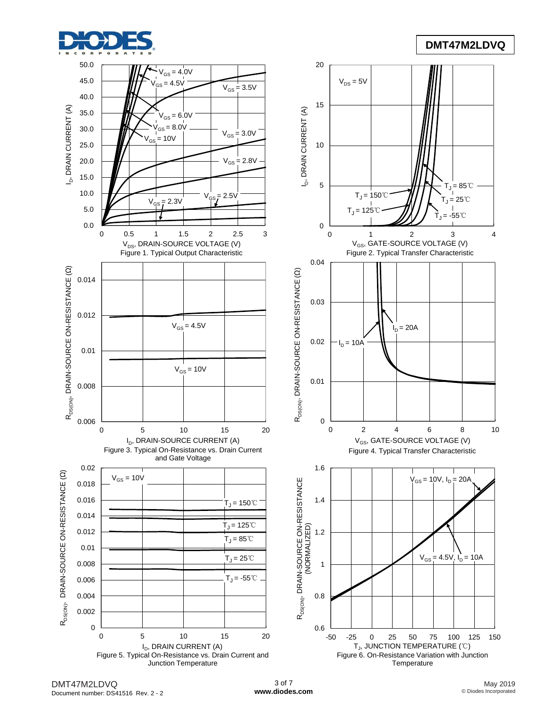

### **DMT47M2LDVQ**

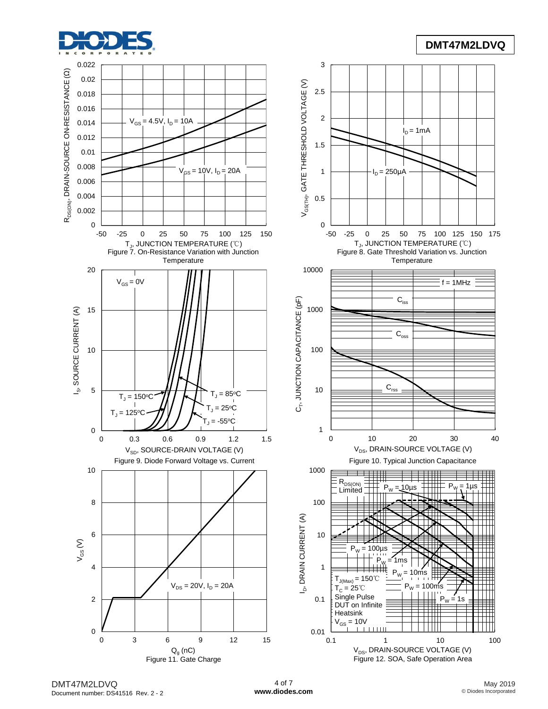

# **DMT47M2LDVQ**



DMT47M2LDVQ Document number: DS41516 Rev. 2 - 2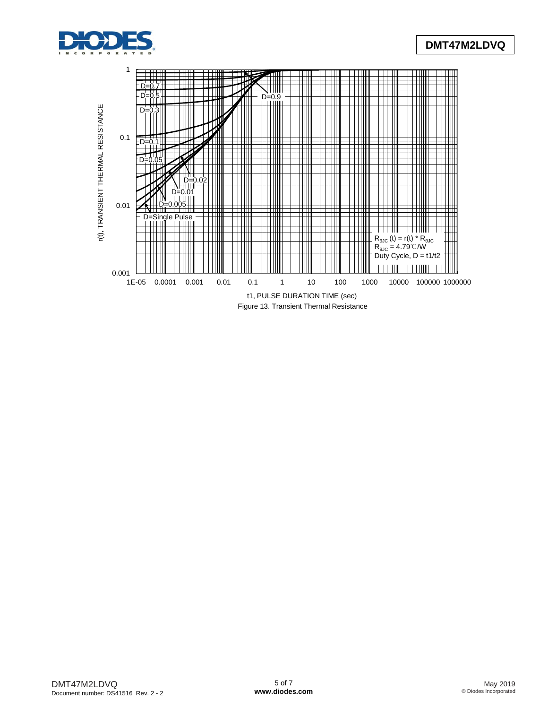

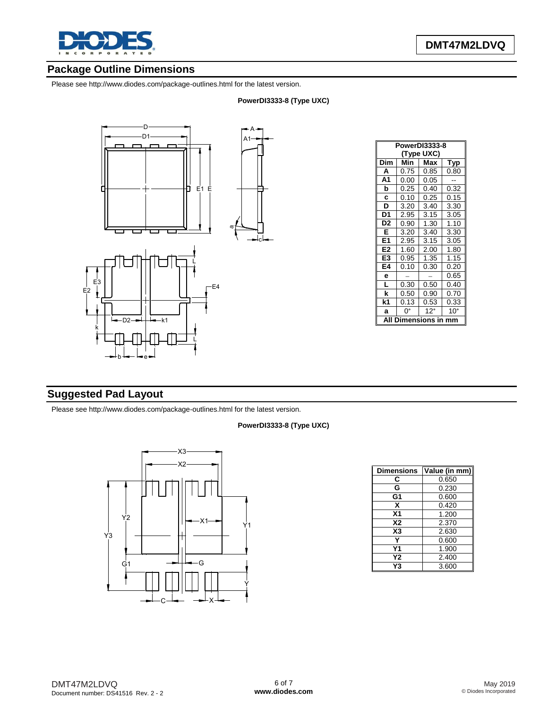

# **Package Outline Dimensions**

Please see http://www.diodes.com/package-outlines.html for the latest version.

#### **PowerDI3333-8 (Type UXC)**



| PowerDI3333-8        |      |            |              |  |  |
|----------------------|------|------------|--------------|--|--|
| (Type UXC)           |      |            |              |  |  |
| Dim                  | Min  | Typ        |              |  |  |
| A                    | 0.75 | 0.85       | 0.80         |  |  |
| A <sub>1</sub>       | 0.00 | 0.05       |              |  |  |
| b                    | 0.25 | 0.40       | 0.32         |  |  |
| C                    | 0.10 | 0.25       | 0.15         |  |  |
| D                    | 3.20 | 3.40       | 3.30         |  |  |
| D <sub>1</sub>       | 2.95 | 3.15       | 3.05         |  |  |
| D <sub>2</sub>       | 0.90 | 1.30       | 1.10         |  |  |
| Е                    | 3.20 | 3.40       | 3.30         |  |  |
| E1                   | 2.95 | 3.15       | 3.05         |  |  |
| E2                   | 1.60 | 2.00       | 1.80         |  |  |
| E3                   | 0.95 | 1.35       | 1.15         |  |  |
| E4                   | 0.10 | 0.30       | 0.20         |  |  |
| е                    |      |            | 0.65         |  |  |
| L                    | 0.30 | 0.50       | 0.40         |  |  |
| k                    | 0.50 | 0.90       | 0.70         |  |  |
| k1                   | 0.13 | 0.53       | 0.33         |  |  |
| a                    | ŋ۰   | $12^\circ$ | $10^{\circ}$ |  |  |
| mensions<br>ΑI<br>mm |      |            |              |  |  |

## **Suggested Pad Layout**

Please see http://www.diodes.com/package-outlines.html for the latest version.

#### **PowerDI3333-8 (Type UXC)**



| <b>Dimensions</b> | Value (in mm) |
|-------------------|---------------|
| С                 | 0.650         |
| G                 | 0.230         |
| G1                | 0.600         |
| x                 | 0.420         |
| X <sub>1</sub>    | 1.200         |
| <b>X2</b>         | 2.370         |
| X <sub>3</sub>    | 2.630         |
|                   | 0.600         |
| Υ1                | 1.900         |
| Υ2                | 2.400         |
| Y3                | 3.600         |